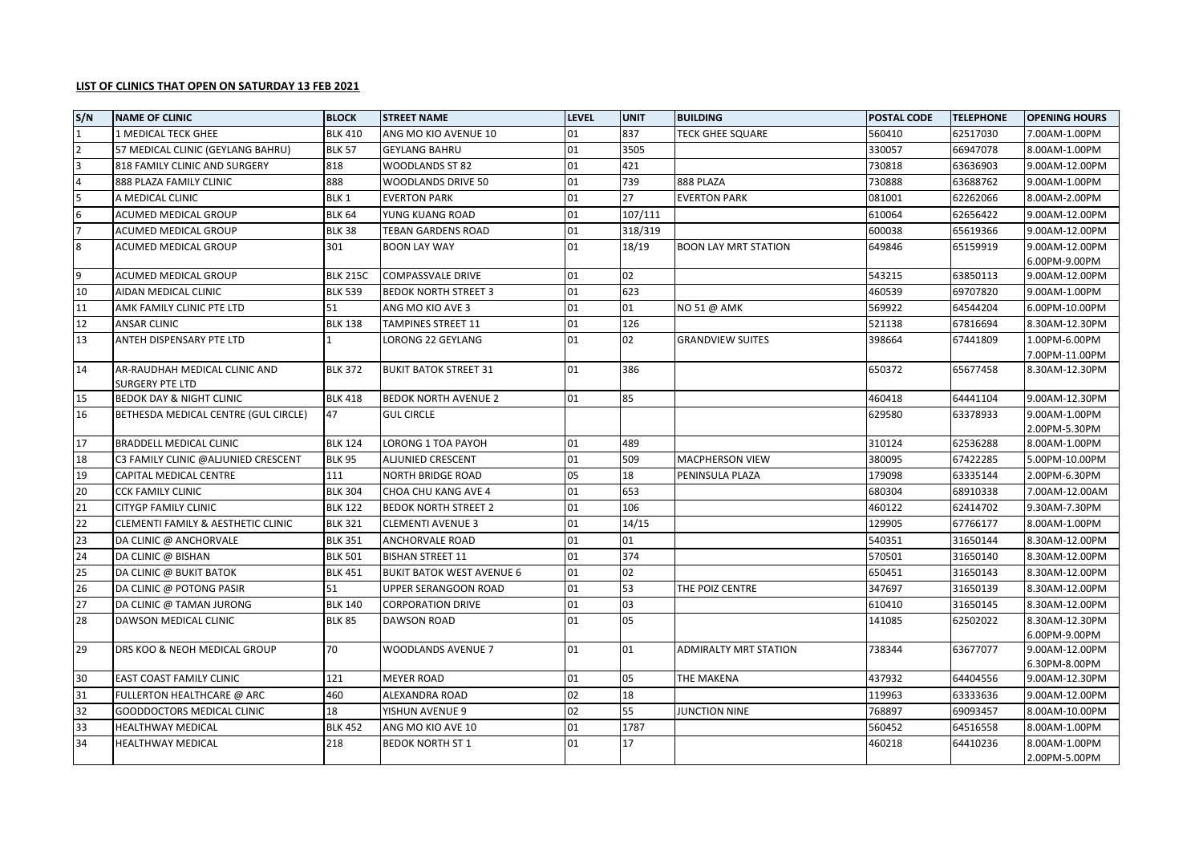## **LIST OF CLINICS THAT OPEN ON SATURDAY 13 FEB 2021**

| S/N              | <b>NAME OF CLINIC</b>                                         | <b>BLOCK</b>     | <b>STREET NAME</b>               | <b>LEVEL</b> | <b>UNIT</b> | <b>BUILDING</b>              | <b>POSTAL CODE</b> | <b>TELEPHONE</b> | <b>OPENING HOURS</b> |
|------------------|---------------------------------------------------------------|------------------|----------------------------------|--------------|-------------|------------------------------|--------------------|------------------|----------------------|
| $\mathbf{1}$     | 1 MEDICAL TECK GHEE                                           | <b>BLK 410</b>   | ANG MO KIO AVENUE 10             | 01           | 837         | <b>TECK GHEE SQUARE</b>      | 560410             | 62517030         | 7.00AM-1.00PM        |
| $\overline{2}$   | 57 MEDICAL CLINIC (GEYLANG BAHRU)                             | <b>BLK 57</b>    | <b>GEYLANG BAHRU</b>             | 01           | 3505        |                              | 330057             | 66947078         | 8.00AM-1.00PM        |
| $\overline{3}$   | 818 FAMILY CLINIC AND SURGERY                                 | 818              | <b>WOODLANDS ST 82</b>           | 01           | 421         |                              | 730818             | 63636903         | 9.00AM-12.00PM       |
| $\overline{4}$   | 888 PLAZA FAMILY CLINIC                                       | 888              | WOODLANDS DRIVE 50               | 01           | 739         | 888 PLAZA                    | 730888             | 63688762         | 9.00AM-1.00PM        |
| 5                | A MEDICAL CLINIC                                              | BLK <sub>1</sub> | <b>EVERTON PARK</b>              | 01           | 27          | <b>EVERTON PARK</b>          | 081001             | 62262066         | 8.00AM-2.00PM        |
| $6\phantom{1}6$  | ACUMED MEDICAL GROUP                                          | <b>BLK 64</b>    | YUNG KUANG ROAD                  | 01           | 107/111     |                              | 610064             | 62656422         | 9.00AM-12.00PM       |
| $\overline{7}$   | ACUMED MEDICAL GROUP                                          | <b>BLK 38</b>    | TEBAN GARDENS ROAD               | 01           | 318/319     |                              | 600038             | 65619366         | 9.00AM-12.00PM       |
| $\boldsymbol{8}$ | ACUMED MEDICAL GROUP                                          | 301              | <b>BOON LAY WAY</b>              | 01           | 18/19       | <b>BOON LAY MRT STATION</b>  | 649846             | 65159919         | 9.00AM-12.00PM       |
|                  |                                                               |                  |                                  |              |             |                              |                    |                  | 6.00PM-9.00PM        |
| 9                | ACUMED MEDICAL GROUP                                          | <b>BLK 215C</b>  | <b>COMPASSVALE DRIVE</b>         | 01           | 02          |                              | 543215             | 63850113         | 9.00AM-12.00PM       |
| 10               | AIDAN MEDICAL CLINIC                                          | <b>BLK 539</b>   | <b>BEDOK NORTH STREET 3</b>      | 01           | 623         |                              | 460539             | 69707820         | 9.00AM-1.00PM        |
| 11               | AMK FAMILY CLINIC PTE LTD                                     | 51               | ANG MO KIO AVE 3                 | 01           | 01          | NO 51 @ AMK                  | 569922             | 64544204         | 6.00PM-10.00PM       |
| 12               | <b>ANSAR CLINIC</b>                                           | <b>BLK 138</b>   | TAMPINES STREET 11               | 01           | 126         |                              | 521138             | 67816694         | 8.30AM-12.30PM       |
| 13               | ANTEH DISPENSARY PTE LTD                                      |                  | LORONG 22 GEYLANG                | 01           | 02          | <b>GRANDVIEW SUITES</b>      | 398664             | 67441809         | 1.00PM-6.00PM        |
|                  |                                                               |                  |                                  |              |             |                              |                    |                  | 7.00PM-11.00PM       |
| 14               | AR-RAUDHAH MEDICAL CLINIC AND                                 | <b>BLK 372</b>   | <b>BUKIT BATOK STREET 31</b>     | 01           | 386         |                              | 650372             | 65677458         | 8.30AM-12.30PM       |
| 15               | <b>SURGERY PTE LTD</b><br><b>BEDOK DAY &amp; NIGHT CLINIC</b> | <b>BLK 418</b>   | <b>BEDOK NORTH AVENUE 2</b>      | 01           | 85          |                              | 460418             | 64441104         | 9.00AM-12.30PM       |
| 16               | BETHESDA MEDICAL CENTRE (GUL CIRCLE)                          | 47               | <b>GUL CIRCLE</b>                |              |             |                              | 629580             | 63378933         | 9.00AM-1.00PM        |
|                  |                                                               |                  |                                  |              |             |                              |                    |                  | 2.00PM-5.30PM        |
| 17               | <b>BRADDELL MEDICAL CLINIC</b>                                | <b>BLK 124</b>   | LORONG 1 TOA PAYOH               | 01           | 489         |                              | 310124             | 62536288         | 8.00AM-1.00PM        |
| 18               | C3 FAMILY CLINIC @ALJUNIED CRESCENT                           | <b>BLK 95</b>    | ALJUNIED CRESCENT                | 01           | 509         | <b>MACPHERSON VIEW</b>       | 380095             | 67422285         | 5.00PM-10.00PM       |
| 19               | CAPITAL MEDICAL CENTRE                                        | 111              | NORTH BRIDGE ROAD                | 05           | 18          | PENINSULA PLAZA              | 179098             | 63335144         | 2.00PM-6.30PM        |
| 20               | CCK FAMILY CLINIC                                             | <b>BLK 304</b>   | CHOA CHU KANG AVE 4              | 01           | 653         |                              | 680304             | 68910338         | 7.00AM-12.00AM       |
| $\overline{21}$  | <b>CITYGP FAMILY CLINIC</b>                                   | <b>BLK 122</b>   | <b>BEDOK NORTH STREET 2</b>      | 01           | 106         |                              | 460122             | 62414702         | 9.30AM-7.30PM        |
| 22               | CLEMENTI FAMILY & AESTHETIC CLINIC                            | <b>BLK 321</b>   | <b>CLEMENTI AVENUE 3</b>         | 01           | 14/15       |                              | 129905             | 67766177         | 8.00AM-1.00PM        |
| 23               | DA CLINIC @ ANCHORVALE                                        | <b>BLK 351</b>   | ANCHORVALE ROAD                  | 01           | 01          |                              | 540351             | 31650144         | 8.30AM-12.00PM       |
| 24               | DA CLINIC @ BISHAN                                            | <b>BLK 501</b>   | <b>BISHAN STREET 11</b>          | 01           | 374         |                              | 570501             | 31650140         | 8.30AM-12.00PM       |
| 25               | DA CLINIC @ BUKIT BATOK                                       | <b>BLK 451</b>   | <b>BUKIT BATOK WEST AVENUE 6</b> | 01           | 02          |                              | 650451             | 31650143         | 8.30AM-12.00PM       |
| 26               | DA CLINIC @ POTONG PASIR                                      | 51               | <b>UPPER SERANGOON ROAD</b>      | 01           | 53          | THE POIZ CENTRE              | 347697             | 31650139         | 8.30AM-12.00PM       |
| 27               | DA CLINIC @ TAMAN JURONG                                      | <b>BLK 140</b>   | <b>CORPORATION DRIVE</b>         | 01           | 03          |                              | 610410             | 31650145         | 8.30AM-12.00PM       |
| 28               | DAWSON MEDICAL CLINIC                                         | <b>BLK 85</b>    | <b>DAWSON ROAD</b>               | 01           | 05          |                              | 141085             | 62502022         | 8.30AM-12.30PM       |
|                  |                                                               |                  |                                  |              |             |                              |                    |                  | 6.00PM-9.00PM        |
| 29               | DRS KOO & NEOH MEDICAL GROUP                                  | 70               | WOODLANDS AVENUE 7               | 01           | 01          | <b>ADMIRALTY MRT STATION</b> | 738344             | 63677077         | 9.00AM-12.00PM       |
|                  |                                                               |                  |                                  |              |             |                              |                    |                  | 6.30PM-8.00PM        |
| 30               | EAST COAST FAMILY CLINIC                                      | 121              | <b>MEYER ROAD</b>                | 01           | 05          | THE MAKENA                   | 437932             | 64404556         | 9.00AM-12.30PM       |
| 31               | FULLERTON HEALTHCARE @ ARC                                    | 460              | ALEXANDRA ROAD                   | 02           | 18          |                              | 119963             | 63333636         | 9.00AM-12.00PM       |
| 32               | <b>GOODDOCTORS MEDICAL CLINIC</b>                             | 18               | YISHUN AVENUE 9                  | 02           | 55          | <b>JUNCTION NINE</b>         | 768897             | 69093457         | 8.00AM-10.00PM       |
| 33               | <b>HEALTHWAY MEDICAL</b>                                      | <b>BLK 452</b>   | ANG MO KIO AVE 10                | 01           | 1787        |                              | 560452             | 64516558         | 8.00AM-1.00PM        |
| 34               | <b>HEALTHWAY MEDICAL</b>                                      | 218              | <b>BEDOK NORTH ST 1</b>          | 01           | 17          |                              | 460218             | 64410236         | 8.00AM-1.00PM        |
|                  |                                                               |                  |                                  |              |             |                              |                    |                  | 2.00PM-5.00PM        |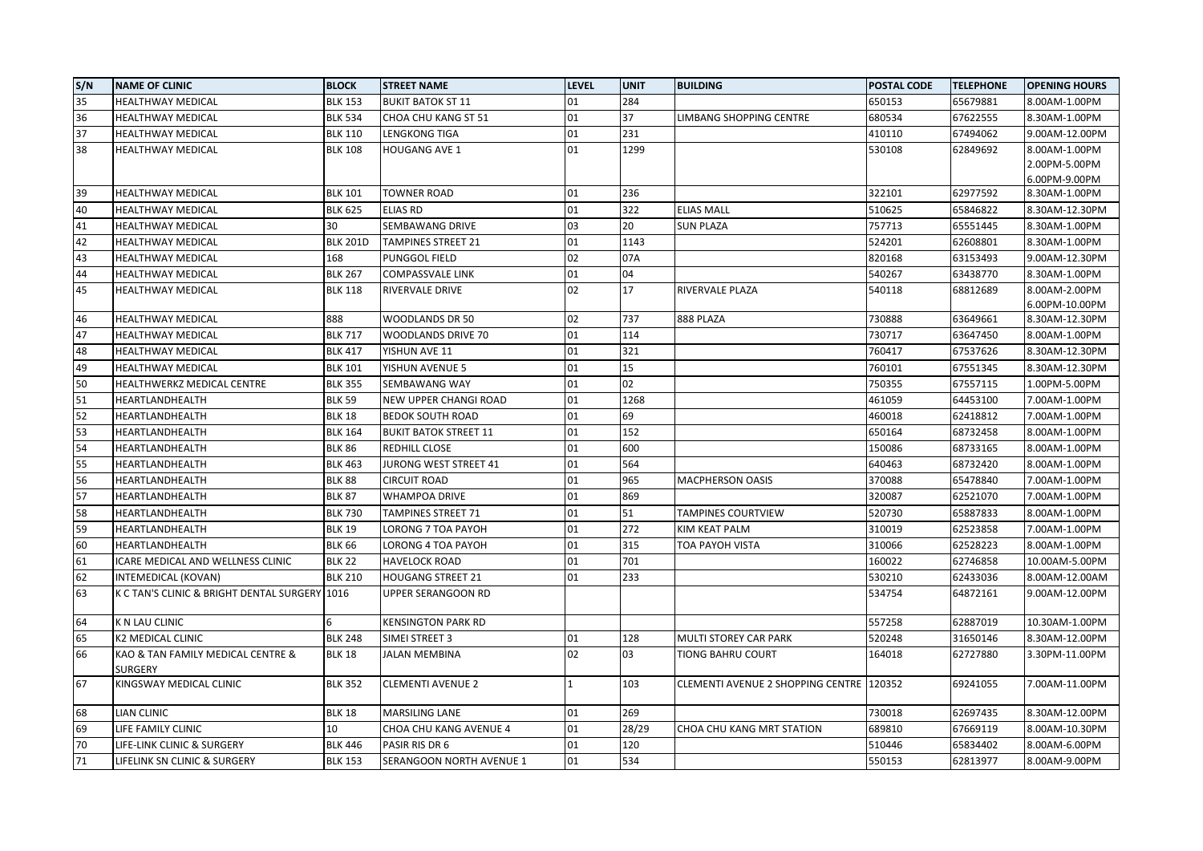| S/N             | <b>NAME OF CLINIC</b>                               | <b>BLOCK</b>    | <b>STREET NAME</b>           | <b>LEVEL</b> | <b>UNIT</b> | <b>BUILDING</b>                          | <b>POSTAL CODE</b> | <b>TELEPHONE</b> | <b>OPENING HOURS</b> |
|-----------------|-----------------------------------------------------|-----------------|------------------------------|--------------|-------------|------------------------------------------|--------------------|------------------|----------------------|
| 35              | <b>HEALTHWAY MEDICAL</b>                            | <b>BLK 153</b>  | <b>BUKIT BATOK ST 11</b>     | 01           | 284         |                                          | 650153             | 65679881         | 8.00AM-1.00PM        |
| 36              | <b>HEALTHWAY MEDICAL</b>                            | <b>BLK 534</b>  | CHOA CHU KANG ST 51          | 01           | 37          | LIMBANG SHOPPING CENTRE                  | 680534             | 67622555         | 8.30AM-1.00PM        |
| 37              | <b>HEALTHWAY MEDICAL</b>                            | <b>BLK 110</b>  | LENGKONG TIGA                | 01           | 231         |                                          | 410110             | 67494062         | 9.00AM-12.00PM       |
| 38              | <b>HEALTHWAY MEDICAL</b>                            | <b>BLK 108</b>  | <b>HOUGANG AVE 1</b>         | 01           | 1299        |                                          | 530108             | 62849692         | 8.00AM-1.00PM        |
|                 |                                                     |                 |                              |              |             |                                          |                    |                  | 2.00PM-5.00PM        |
|                 |                                                     |                 |                              |              |             |                                          |                    |                  | 6.00PM-9.00PM        |
| 39              | <b>HEALTHWAY MEDICAL</b>                            | <b>BLK 101</b>  | <b>TOWNER ROAD</b>           | 01           | 236         |                                          | 322101             | 62977592         | 8.30AM-1.00PM        |
| 40              | <b>HEALTHWAY MEDICAL</b>                            | <b>BLK 625</b>  | <b>ELIAS RD</b>              | 01           | 322         | <b>ELIAS MALL</b>                        | 510625             | 65846822         | 8.30AM-12.30PM       |
| 41              | <b>HEALTHWAY MEDICAL</b>                            | 30              | SEMBAWANG DRIVE              | 03           | 20          | <b>SUN PLAZA</b>                         | 757713             | 65551445         | 8.30AM-1.00PM        |
| 42              | <b>HEALTHWAY MEDICAL</b>                            | <b>BLK 201D</b> | <b>TAMPINES STREET 21</b>    | 01           | 1143        |                                          | 524201             | 62608801         | 8.30AM-1.00PM        |
| 43              | <b>HEALTHWAY MEDICAL</b>                            | 168             | PUNGGOL FIELD                | 02           | 07A         |                                          | 820168             | 63153493         | 9.00AM-12.30PM       |
| 44              | <b>HEALTHWAY MEDICAL</b>                            | <b>BLK 267</b>  | <b>COMPASSVALE LINK</b>      | 01           | 04          |                                          | 540267             | 63438770         | 8.30AM-1.00PM        |
| 45              | <b>HEALTHWAY MEDICAL</b>                            | <b>BLK 118</b>  | RIVERVALE DRIVE              | 02           | 17          | <b>RIVERVALE PLAZA</b>                   | 540118             | 68812689         | 8.00AM-2.00PM        |
|                 |                                                     |                 |                              |              |             |                                          |                    |                  | 6.00PM-10.00PM       |
| 46              | <b>HEALTHWAY MEDICAL</b>                            | 888             | <b>WOODLANDS DR 50</b>       | 02           | 737         | 888 PLAZA                                | 730888             | 63649661         | 8.30AM-12.30PM       |
| 47              | HEALTHWAY MEDICAL                                   | <b>BLK 717</b>  | WOODLANDS DRIVE 70           | 01           | 114         |                                          | 730717             | 63647450         | 8.00AM-1.00PM        |
| 48              | <b>HEALTHWAY MEDICAL</b>                            | <b>BLK 417</b>  | YISHUN AVE 11                | 01           | 321         |                                          | 760417             | 67537626         | 8.30AM-12.30PM       |
| 49              | <b>HEALTHWAY MEDICAL</b>                            | <b>BLK 101</b>  | YISHUN AVENUE 5              | 01           | 15          |                                          | 760101             | 67551345         | 8.30AM-12.30PM       |
| 50              | HEALTHWERKZ MEDICAL CENTRE                          | <b>BLK 355</b>  | SEMBAWANG WAY                | 01           | 02          |                                          | 750355             | 67557115         | 1.00PM-5.00PM        |
| 51              | HEARTLANDHEALTH                                     | <b>BLK 59</b>   | <b>NEW UPPER CHANGI ROAD</b> | 01           | 1268        |                                          | 461059             | 64453100         | 7.00AM-1.00PM        |
| 52              | HEARTLANDHEALTH                                     | <b>BLK 18</b>   | <b>BEDOK SOUTH ROAD</b>      | 01           | 69          |                                          | 460018             | 62418812         | 7.00AM-1.00PM        |
| 53              | HEARTLANDHEALTH                                     | <b>BLK 164</b>  | <b>BUKIT BATOK STREET 11</b> | 01           | 152         |                                          | 650164             | 68732458         | 8.00AM-1.00PM        |
| 54              | HEARTLANDHEALTH                                     | <b>BLK 86</b>   | REDHILL CLOSE                | 01           | 600         |                                          | 150086             | 68733165         | 8.00AM-1.00PM        |
| 55              | HEARTLANDHEALTH                                     | <b>BLK 463</b>  | JURONG WEST STREET 41        | 01           | 564         |                                          | 640463             | 68732420         | 8.00AM-1.00PM        |
| 56              | HEARTLANDHEALTH                                     | <b>BLK 88</b>   | <b>CIRCUIT ROAD</b>          | 01           | 965         | <b>MACPHERSON OASIS</b>                  | 370088             | 65478840         | 7.00AM-1.00PM        |
| 57              | HEARTLANDHEALTH                                     | <b>BLK 87</b>   | WHAMPOA DRIVE                | 01           | 869         |                                          | 320087             | 62521070         | 7.00AM-1.00PM        |
| 58              | HEARTLANDHEALTH                                     | <b>BLK 730</b>  | TAMPINES STREET 71           | 01           | 51          | <b>TAMPINES COURTVIEW</b>                | 520730             | 65887833         | 8.00AM-1.00PM        |
| 59              | HEARTLANDHEALTH                                     | <b>BLK 19</b>   | LORONG 7 TOA PAYOH           | 01           | 272         | <b>KIM KEAT PALM</b>                     | 310019             | 62523858         | 7.00AM-1.00PM        |
| 60              | HEARTLANDHEALTH                                     | <b>BLK 66</b>   | LORONG 4 TOA PAYOH           | 01           | 315         | TOA PAYOH VISTA                          | 310066             | 62528223         | 8.00AM-1.00PM        |
| 61              | ICARE MEDICAL AND WELLNESS CLINIC                   | <b>BLK 22</b>   | <b>HAVELOCK ROAD</b>         | 01           | 701         |                                          | 160022             | 62746858         | 10.00AM-5.00PM       |
| 62              | INTEMEDICAL (KOVAN)                                 | <b>BLK 210</b>  | <b>HOUGANG STREET 21</b>     | 01           | 233         |                                          | 530210             | 62433036         | 8.00AM-12.00AM       |
| 63              | K C TAN'S CLINIC & BRIGHT DENTAL SURGERY 1016       |                 | UPPER SERANGOON RD           |              |             |                                          | 534754             | 64872161         | 9.00AM-12.00PM       |
| 64              | K N LAU CLINIC                                      | 6               | <b>KENSINGTON PARK RD</b>    |              |             |                                          | 557258             | 62887019         | 10.30AM-1.00PM       |
| 65              | <b>K2 MEDICAL CLINIC</b>                            | <b>BLK 248</b>  | SIMEI STREET 3               | 01           | 128         | <b>MULTI STOREY CAR PARK</b>             | 520248             | 31650146         | 8.30AM-12.00PM       |
| 66              | KAO & TAN FAMILY MEDICAL CENTRE &<br><b>SURGERY</b> | <b>BLK 18</b>   | <b>JALAN MEMBINA</b>         | 02           | 03          | <b>TIONG BAHRU COURT</b>                 | 164018             | 62727880         | 3.30PM-11.00PM       |
| 67              | KINGSWAY MEDICAL CLINIC                             | <b>BLK 352</b>  | <b>CLEMENTI AVENUE 2</b>     | 1            | 103         | CLEMENTI AVENUE 2 SHOPPING CENTRE 120352 |                    | 69241055         | 7.00AM-11.00PM       |
| 68              | <b>LIAN CLINIC</b>                                  | <b>BLK 18</b>   | <b>MARSILING LANE</b>        | 01           | 269         |                                          | 730018             | 62697435         | 8.30AM-12.00PM       |
| 69              | LIFE FAMILY CLINIC                                  | 10              | CHOA CHU KANG AVENUE 4       | 01           | 28/29       | CHOA CHU KANG MRT STATION                | 689810             | 67669119         | 8.00AM-10.30PM       |
| 70              | LIFE-LINK CLINIC & SURGERY                          | <b>BLK 446</b>  | PASIR RIS DR 6               | 01           | 120         |                                          | 510446             | 65834402         | 8.00AM-6.00PM        |
| $\overline{71}$ | LIFELINK SN CLINIC & SURGERY                        | <b>BLK 153</b>  | SERANGOON NORTH AVENUE 1     | 01           | 534         |                                          | 550153             | 62813977         | 8.00AM-9.00PM        |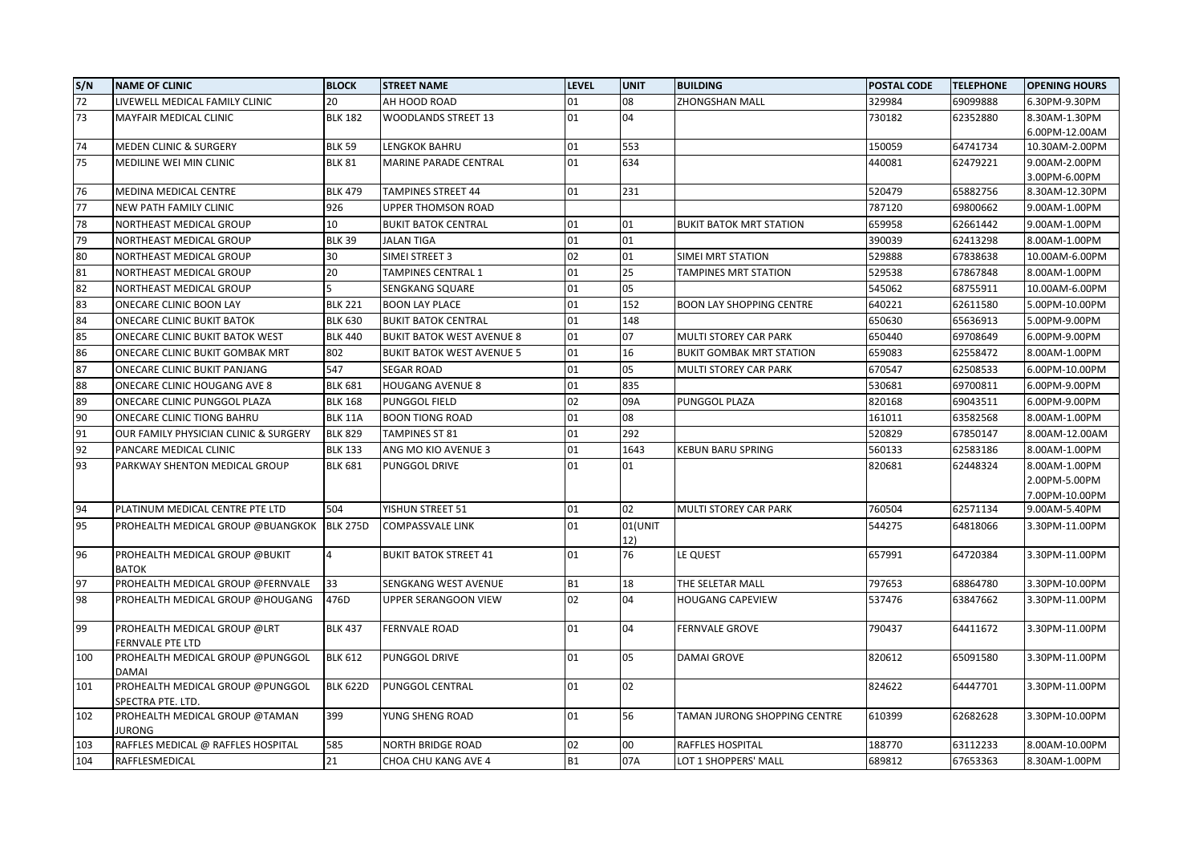| S/N | <b>NAME OF CLINIC</b>                                | <b>BLOCK</b>    | <b>STREET NAME</b>               | <b>LEVEL</b> | <b>UNIT</b> | <b>BUILDING</b>                 | <b>POSTAL CODE</b> | <b>TELEPHONE</b> | <b>OPENING HOURS</b> |
|-----|------------------------------------------------------|-----------------|----------------------------------|--------------|-------------|---------------------------------|--------------------|------------------|----------------------|
| 72  | LIVEWELL MEDICAL FAMILY CLINIC                       | 20              | AH HOOD ROAD                     | 01           | 08          | ZHONGSHAN MALL                  | 329984             | 69099888         | 6.30PM-9.30PM        |
| 73  | <b>MAYFAIR MEDICAL CLINIC</b>                        | <b>BLK 182</b>  | <b>WOODLANDS STREET 13</b>       | 01           | 04          |                                 | 730182             | 62352880         | 8.30AM-1.30PM        |
|     |                                                      |                 |                                  |              |             |                                 |                    |                  | 6.00PM-12.00AM       |
| 74  | MEDEN CLINIC & SURGERY                               | <b>BLK 59</b>   | <b>LENGKOK BAHRU</b>             | 01           | 553         |                                 | 150059             | 64741734         | 10.30AM-2.00PM       |
| 75  | MEDILINE WEI MIN CLINIC                              | <b>BLK 81</b>   | <b>MARINE PARADE CENTRAL</b>     | 01           | 634         |                                 | 440081             | 62479221         | 9.00AM-2.00PM        |
|     |                                                      |                 |                                  |              |             |                                 |                    |                  | 3.00PM-6.00PM        |
| 76  | MEDINA MEDICAL CENTRE                                | <b>BLK 479</b>  | <b>TAMPINES STREET 44</b>        | 01           | 231         |                                 | 520479             | 65882756         | 8.30AM-12.30PM       |
| 77  | NEW PATH FAMILY CLINIC                               | 926             | <b>UPPER THOMSON ROAD</b>        |              |             |                                 | 787120             | 69800662         | 9.00AM-1.00PM        |
| 78  | NORTHEAST MEDICAL GROUP                              | 10              | <b>BUKIT BATOK CENTRAL</b>       | 01           | 01          | <b>BUKIT BATOK MRT STATION</b>  | 659958             | 62661442         | 9.00AM-1.00PM        |
| 79  | NORTHEAST MEDICAL GROUP                              | <b>BLK 39</b>   | <b>JALAN TIGA</b>                | 01           | 01          |                                 | 390039             | 62413298         | 8.00AM-1.00PM        |
| 80  | NORTHEAST MEDICAL GROUP                              | 30              | SIMEI STREET 3                   | 02           | 01          | SIMEI MRT STATION               | 529888             | 67838638         | 10.00AM-6.00PM       |
| 81  | NORTHEAST MEDICAL GROUP                              | 20              | <b>TAMPINES CENTRAL 1</b>        | 01           | 25          | TAMPINES MRT STATION            | 529538             | 67867848         | 8.00AM-1.00PM        |
| 82  | NORTHEAST MEDICAL GROUP                              |                 | SENGKANG SQUARE                  | 01           | 05          |                                 | 545062             | 68755911         | 10.00AM-6.00PM       |
| 83  | ONECARE CLINIC BOON LAY                              | <b>BLK 221</b>  | <b>BOON LAY PLACE</b>            | 01           | 152         | <b>BOON LAY SHOPPING CENTRE</b> | 640221             | 62611580         | 5.00PM-10.00PM       |
| 84  | <b>ONECARE CLINIC BUKIT BATOK</b>                    | <b>BLK 630</b>  | <b>BUKIT BATOK CENTRAL</b>       | 01           | 148         |                                 | 650630             | 65636913         | 5.00PM-9.00PM        |
| 85  | ONECARE CLINIC BUKIT BATOK WEST                      | <b>BLK 440</b>  | <b>BUKIT BATOK WEST AVENUE 8</b> | 01           | 07          | <b>MULTI STOREY CAR PARK</b>    | 650440             | 69708649         | 6.00PM-9.00PM        |
| 86  | ONECARE CLINIC BUKIT GOMBAK MRT                      | 802             | <b>BUKIT BATOK WEST AVENUE 5</b> | 01           | 16          | <b>BUKIT GOMBAK MRT STATION</b> | 659083             | 62558472         | 8.00AM-1.00PM        |
| 87  | ONECARE CLINIC BUKIT PANJANG                         | 547             | <b>SEGAR ROAD</b>                | 01           | 05          | MULTI STOREY CAR PARK           | 670547             | 62508533         | 6.00PM-10.00PM       |
| 88  | ONECARE CLINIC HOUGANG AVE 8                         | <b>BLK 681</b>  | <b>HOUGANG AVENUE 8</b>          | 01           | 835         |                                 | 530681             | 69700811         | 6.00PM-9.00PM        |
| 89  | ONECARE CLINIC PUNGGOL PLAZA                         | <b>BLK 168</b>  | <b>PUNGGOL FIELD</b>             | 02           | 09A         | PUNGGOL PLAZA                   | 820168             | 69043511         | 6.00PM-9.00PM        |
| 90  | ONECARE CLINIC TIONG BAHRU                           | <b>BLK 11A</b>  | <b>BOON TIONG ROAD</b>           | 01           | 08          |                                 | 161011             | 63582568         | 8.00AM-1.00PM        |
| 91  | OUR FAMILY PHYSICIAN CLINIC & SURGERY                | <b>BLK 829</b>  | <b>TAMPINES ST 81</b>            | 01           | 292         |                                 | 520829             | 67850147         | 8.00AM-12.00AM       |
| 92  | PANCARE MEDICAL CLINIC                               | <b>BLK 133</b>  | ANG MO KIO AVENUE 3              | 01           | 1643        | KEBUN BARU SPRING               | 560133             | 62583186         | 8.00AM-1.00PM        |
| 93  | PARKWAY SHENTON MEDICAL GROUP                        | <b>BLK 681</b>  | <b>PUNGGOL DRIVE</b>             | 01           | 01          |                                 | 820681             | 62448324         | 8.00AM-1.00PM        |
|     |                                                      |                 |                                  |              |             |                                 |                    |                  | 2.00PM-5.00PM        |
|     |                                                      |                 |                                  |              |             |                                 |                    |                  | 7.00PM-10.00PM       |
| 94  | PLATINUM MEDICAL CENTRE PTE LTD                      | 504             | YISHUN STREET 51                 | 01           | 02          | <b>MULTI STOREY CAR PARK</b>    | 760504             | 62571134         | 9.00AM-5.40PM        |
| 95  | PROHEALTH MEDICAL GROUP @BUANGKOK  BLK 275D          |                 | <b>COMPASSVALE LINK</b>          | 01           | 01(UNIT     |                                 | 544275             | 64818066         | 3.30PM-11.00PM       |
|     |                                                      |                 |                                  |              | 12)         |                                 |                    |                  |                      |
| 96  | PROHEALTH MEDICAL GROUP @BUKIT                       | $\overline{4}$  | <b>BUKIT BATOK STREET 41</b>     | 01           | 76          | LE QUEST                        | 657991             | 64720384         | 3.30PM-11.00PM       |
|     | <b>BATOK</b>                                         |                 |                                  |              |             |                                 |                    |                  |                      |
| 97  | PROHEALTH MEDICAL GROUP @FERNVALE                    | 33              | SENGKANG WEST AVENUE             | <b>B1</b>    | 18          | THE SELETAR MALL                | 797653             | 68864780         | 3.30PM-10.00PM       |
| 98  | PROHEALTH MEDICAL GROUP @HOUGANG                     | 476D            | UPPER SERANGOON VIEW             | 02           | 04          | <b>HOUGANG CAPEVIEW</b>         | 537476             | 63847662         | 3.30PM-11.00PM       |
|     |                                                      |                 |                                  |              |             |                                 |                    |                  |                      |
| 99  | PROHEALTH MEDICAL GROUP @LRT                         | <b>BLK 437</b>  | <b>FERNVALE ROAD</b>             | 01           | 04          | <b>FERNVALE GROVE</b>           | 790437             | 64411672         | 3.30PM-11.00PM       |
| 100 | FERNVALE PTE LTD<br>PROHEALTH MEDICAL GROUP @PUNGGOL | <b>BLK 612</b>  | <b>PUNGGOL DRIVE</b>             | 01           | 05          | <b>DAMAI GROVE</b>              | 820612             | 65091580         | 3.30PM-11.00PM       |
|     | <b>DAMAI</b>                                         |                 |                                  |              |             |                                 |                    |                  |                      |
| 101 | PROHEALTH MEDICAL GROUP @PUNGGOL                     | <b>BLK 622D</b> | <b>PUNGGOL CENTRAL</b>           | 01           | 02          |                                 | 824622             | 64447701         | 3.30PM-11.00PM       |
|     | SPECTRA PTE. LTD.                                    |                 |                                  |              |             |                                 |                    |                  |                      |
| 102 | PROHEALTH MEDICAL GROUP @TAMAN                       | 399             | YUNG SHENG ROAD                  | 01           | 56          | TAMAN JURONG SHOPPING CENTRE    | 610399             | 62682628         | 3.30PM-10.00PM       |
|     | <b>JURONG</b>                                        |                 |                                  |              |             |                                 |                    |                  |                      |
| 103 | RAFFLES MEDICAL @ RAFFLES HOSPITAL                   | 585             | NORTH BRIDGE ROAD                | 02           | 00          | RAFFLES HOSPITAL                | 188770             | 63112233         | 8.00AM-10.00PM       |
| 104 | RAFFLESMEDICAL                                       | 21              | CHOA CHU KANG AVE 4              | <b>B1</b>    | 07A         | LOT 1 SHOPPERS' MALL            | 689812             | 67653363         | 8.30AM-1.00PM        |